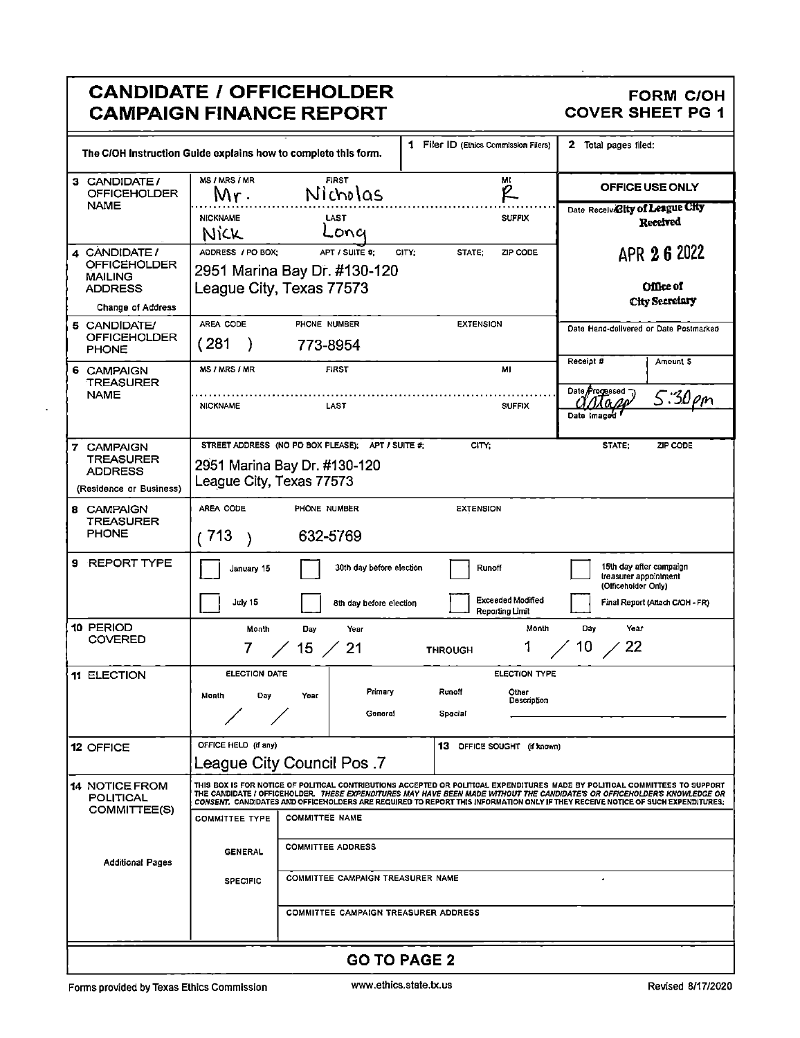|                                                                                        | <b>CANDIDATE / OFFICEHOLDER</b><br><b>CAMPAIGN FINANCE REPORT</b>                                                                                                                                                                                                                                                                                                                                                                                      | <b>FORM C/OH</b><br><b>COVER SHEET PG 1</b>                                                                |
|----------------------------------------------------------------------------------------|--------------------------------------------------------------------------------------------------------------------------------------------------------------------------------------------------------------------------------------------------------------------------------------------------------------------------------------------------------------------------------------------------------------------------------------------------------|------------------------------------------------------------------------------------------------------------|
|                                                                                        | 1 Filer ID (Ethics Commission Filers)<br>The C/OH Instruction Guide explains how to complete this form.                                                                                                                                                                                                                                                                                                                                                | 2 Total pages filed:                                                                                       |
| 3 CANDIDATE /<br><b>OFFICEHOLDER</b>                                                   | MS / MRS / MR<br><b>FIRST</b><br>мі<br>R<br>Nicholas<br>M۳۰                                                                                                                                                                                                                                                                                                                                                                                            | OFFICE USE ONLY                                                                                            |
| <b>NAME</b>                                                                            | <b>NICKNAME</b><br><b>SUFFIX</b><br>LAST<br>Lona<br><b>NICK</b>                                                                                                                                                                                                                                                                                                                                                                                        | Date Receivelity of League City<br>Received                                                                |
| 4 CANDIDATE /<br>OFFICEHOLDER<br>MAILING<br><b>ADDRESS</b><br><b>Change of Address</b> | ADDRESS / PO BOX:<br>APT / SUITE #:<br>ZIP CODE<br>CITY;<br>STATE:<br>2951 Marina Bay Dr. #130-120<br>League City, Texas 77573                                                                                                                                                                                                                                                                                                                         | APR 2 6 2022<br><b>Office of</b><br>City Secretary                                                         |
| 5 CANDIDATE/<br>OFFICEHOLDER<br><b>PHONE</b>                                           | AREA CODE<br><b>EXTENSION</b><br>PHONE NUMBER<br>(281<br>773-8954                                                                                                                                                                                                                                                                                                                                                                                      | Date Hand-delivered or Date Postmarked                                                                     |
| 6 CAMPAIGN<br><b>TREASURER</b>                                                         | <b>MS / MRS / MR</b><br><b>FIRST</b><br>MI                                                                                                                                                                                                                                                                                                                                                                                                             | Receipt #<br>Amount 5<br>Date <i>Progessed</i>                                                             |
| <b>NAME</b>                                                                            | <b>NICKNAME</b><br>LAST<br><b>SUFFIX</b>                                                                                                                                                                                                                                                                                                                                                                                                               | 5:30pm<br>Date Imag                                                                                        |
| 7 CAMPAIGN<br><b>TREASURER</b><br><b>ADDRESS</b><br>(Residence or Business)            | STREET ADDRESS (NO PO BOX PLEASE);<br>APT / SUITE #:<br>CITY:<br>2951 Marina Bay Dr. #130-120<br>League City, Texas 77573                                                                                                                                                                                                                                                                                                                              | STATE:<br>ZIP CODE                                                                                         |
| 8 CAMPAIGN<br>TREASURER<br><b>PHONE</b>                                                | AREA CODE<br><b>PHONE NUMBER</b><br><b>EXTENSION</b><br>(713)<br>632-5769<br>$\lambda$                                                                                                                                                                                                                                                                                                                                                                 |                                                                                                            |
| 9 REPORT TYPE                                                                          | 30th day before election<br>January 15<br>Runoff<br><b>Exceeded Modified</b><br>July 15<br>8th day before election<br><b>Reporting Limit</b>                                                                                                                                                                                                                                                                                                           | 15th day after campaign<br>treasurer appointment<br>(Officeholder Only)<br>Final Report (Attach C/OH - FR) |
| 10 PERIOD<br><b>COVERED</b>                                                            | Month<br>Month<br>Day<br>Year<br>1<br>$15$ /<br>21<br><b>THROUGH</b>                                                                                                                                                                                                                                                                                                                                                                                   | Year<br>Day<br>$10$ /<br>22                                                                                |
| 11 ELECTION                                                                            | <b>ELECTION DATE</b><br><b>ELECTION TYPE</b><br>Primary<br>Runoff<br>Other<br>Month<br>Day<br>Year<br>Description<br>General<br>Special                                                                                                                                                                                                                                                                                                                |                                                                                                            |
| 12 OFFICE                                                                              | OFFICE HELD (if any)<br>13 OFFICE SOUGHT (if known)<br>7. League City Council Pos                                                                                                                                                                                                                                                                                                                                                                      |                                                                                                            |
| <b>14 NOTICE FROM</b><br>POLITICAL<br>COMMITTEE(S)                                     | THIS BOX IS FOR NOTICE OF POLITICAL CONTRIBUTIONS ACCEPTED OR POLITICAL EXPENDITURES MADE BY POLITICAL COMMITTEES TO SUPPORT<br>THE CANDIDATE I OFFICEHOLDER. <i>THESE EXPENDITURES MAY HAVE BEEN MADE WITHOUT THE CANDIDATE'S OR OFFICEHOLDER'S KNOWLEDGE OR</i><br>CONSENT. CANDIDATES AND OFFICEHOLDERS ARE REQUIRED TO REPORT THIS INFORMATION ONLY IF THEY RECEIVE NOTICE OF SUCH EXPENDITURES.<br><b>COMMITTEE NAME</b><br><b>COMMITTEE TYPE</b> |                                                                                                            |
|                                                                                        | <b>COMMITTEE ADDRESS</b>                                                                                                                                                                                                                                                                                                                                                                                                                               |                                                                                                            |
| <b>Additional Pages</b>                                                                | <b>GENERAL</b><br><b>COMMITTEE CAMPAIGN TREASURER NAME</b><br><b>SPECIFIC</b>                                                                                                                                                                                                                                                                                                                                                                          |                                                                                                            |
|                                                                                        | <b>COMMITTEE CAMPAIGN TREASURER ADDRESS</b>                                                                                                                                                                                                                                                                                                                                                                                                            |                                                                                                            |
|                                                                                        | <b>GO TO PAGE 2</b>                                                                                                                                                                                                                                                                                                                                                                                                                                    |                                                                                                            |

l,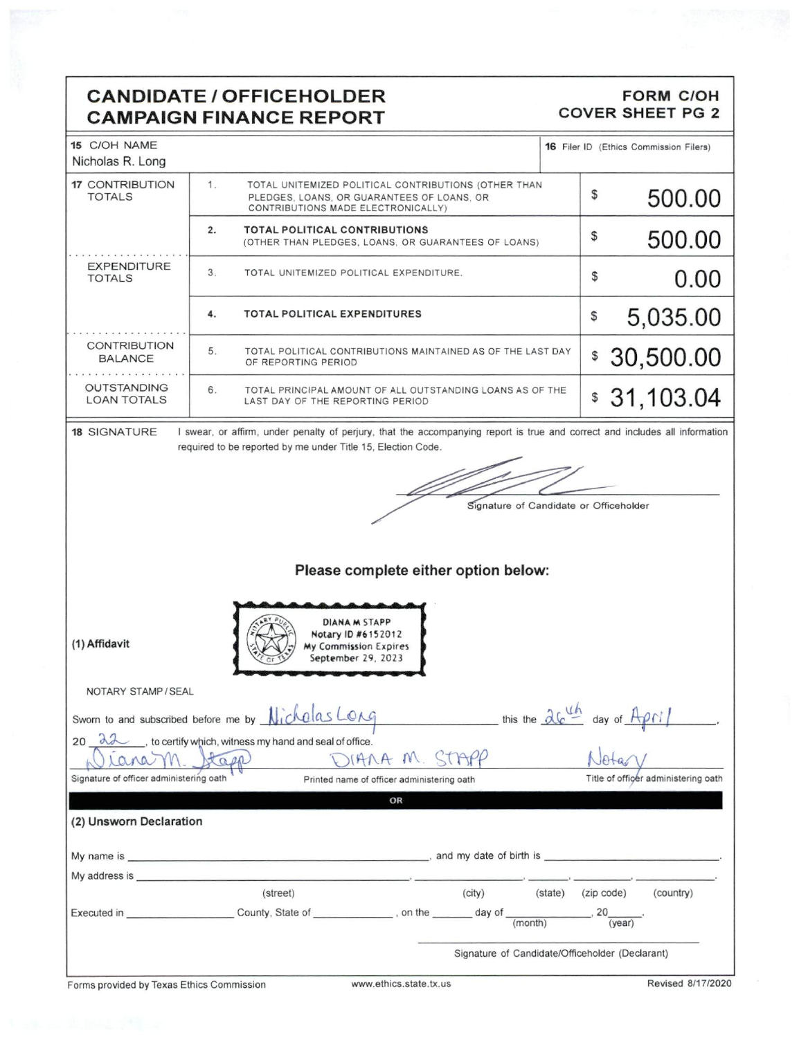## **CANDIDATE / OFFICEHOLDER CAMPAIGN FINANCE REPORT**

#### **FORM C/OH COVER SHEET PG 2**

| 15 C/OH NAME<br>Nicholas R. Long                                                                                                                                                                                               |                                                                                                                                                                                             | 16 Filer ID (Ethics Commission Filers)                                                    |
|--------------------------------------------------------------------------------------------------------------------------------------------------------------------------------------------------------------------------------|---------------------------------------------------------------------------------------------------------------------------------------------------------------------------------------------|-------------------------------------------------------------------------------------------|
| <b>17 CONTRIBUTION</b><br><b>TOTALS</b>                                                                                                                                                                                        | 1 <sub>1</sub><br>TOTAL UNITEMIZED POLITICAL CONTRIBUTIONS (OTHER THAN<br>PLEDGES, LOANS, OR GUARANTEES OF LOANS, OR<br>CONTRIBUTIONS MADE ELECTRONICALLY)                                  | \$<br>500.00                                                                              |
|                                                                                                                                                                                                                                | <b>TOTAL POLITICAL CONTRIBUTIONS</b><br>2.<br>(OTHER THAN PLEDGES, LOANS, OR GUARANTEES OF LOANS)                                                                                           | \$<br>500.00                                                                              |
| <b>EXPENDITURE</b><br><b>TOTALS</b>                                                                                                                                                                                            | 3.<br>TOTAL UNITEMIZED POLITICAL EXPENDITURE.                                                                                                                                               | 0.00<br>\$                                                                                |
|                                                                                                                                                                                                                                | 4.<br><b>TOTAL POLITICAL EXPENDITURES</b>                                                                                                                                                   | 5,035.00<br>\$                                                                            |
| <b>CONTRIBUTION</b><br><b>BALANCE</b>                                                                                                                                                                                          | 5.<br>TOTAL POLITICAL CONTRIBUTIONS MAINTAINED AS OF THE LAST DAY<br>OF REPORTING PERIOD                                                                                                    | 30,500.00<br>\$                                                                           |
| <b>OUTSTANDING</b><br><b>LOAN TOTALS</b>                                                                                                                                                                                       | 6.<br>TOTAL PRINCIPAL AMOUNT OF ALL OUTSTANDING LOANS AS OF THE<br>LAST DAY OF THE REPORTING PERIOD                                                                                         | \$31,103.04                                                                               |
| <b>18 SIGNATURE</b>                                                                                                                                                                                                            | I swear, or affirm, under penalty of perjury, that the accompanying report is true and correct and includes all information<br>required to be reported by me under Title 15, Election Code. |                                                                                           |
|                                                                                                                                                                                                                                |                                                                                                                                                                                             |                                                                                           |
|                                                                                                                                                                                                                                |                                                                                                                                                                                             | Signature of Candidate or Officeholder                                                    |
|                                                                                                                                                                                                                                |                                                                                                                                                                                             |                                                                                           |
|                                                                                                                                                                                                                                | Please complete either option below:                                                                                                                                                        |                                                                                           |
|                                                                                                                                                                                                                                |                                                                                                                                                                                             |                                                                                           |
| (1) Affidavit                                                                                                                                                                                                                  | <b>DIANA M STAPP</b><br>Notary ID #6152012<br>My Commission Expires<br>September 29, 2023                                                                                                   |                                                                                           |
| NOTARY STAMP / SEAL                                                                                                                                                                                                            |                                                                                                                                                                                             |                                                                                           |
|                                                                                                                                                                                                                                | Sworn to and subscribed before me by Nicholas Long                                                                                                                                          | this the $\frac{\partial G}{\partial h}$ day of $A \rho N$                                |
| $20 \text{ } d \lambda$<br>ana                                                                                                                                                                                                 | to certify which, witness my hand and seal of office.<br>SIANA M. STAPP<br>tage                                                                                                             |                                                                                           |
| Signature of officer administering oath                                                                                                                                                                                        | Printed name of officer administering oath                                                                                                                                                  | Title of officer administering oath                                                       |
|                                                                                                                                                                                                                                | OR                                                                                                                                                                                          |                                                                                           |
| (2) Unsworn Declaration                                                                                                                                                                                                        |                                                                                                                                                                                             |                                                                                           |
|                                                                                                                                                                                                                                |                                                                                                                                                                                             |                                                                                           |
| My address is the control of the control of the control of the control of the control of the control of the control of the control of the control of the control of the control of the control of the control of the control o |                                                                                                                                                                                             |                                                                                           |
|                                                                                                                                                                                                                                | (street)<br>(city)                                                                                                                                                                          | (state) (zip code)<br>(country)<br>$\overline{\phantom{0}}$ , 20 $\overline{\phantom{0}}$ |
|                                                                                                                                                                                                                                |                                                                                                                                                                                             | $\overline{(year)}$                                                                       |
|                                                                                                                                                                                                                                |                                                                                                                                                                                             | Signature of Candidate/Officeholder (Declarant)                                           |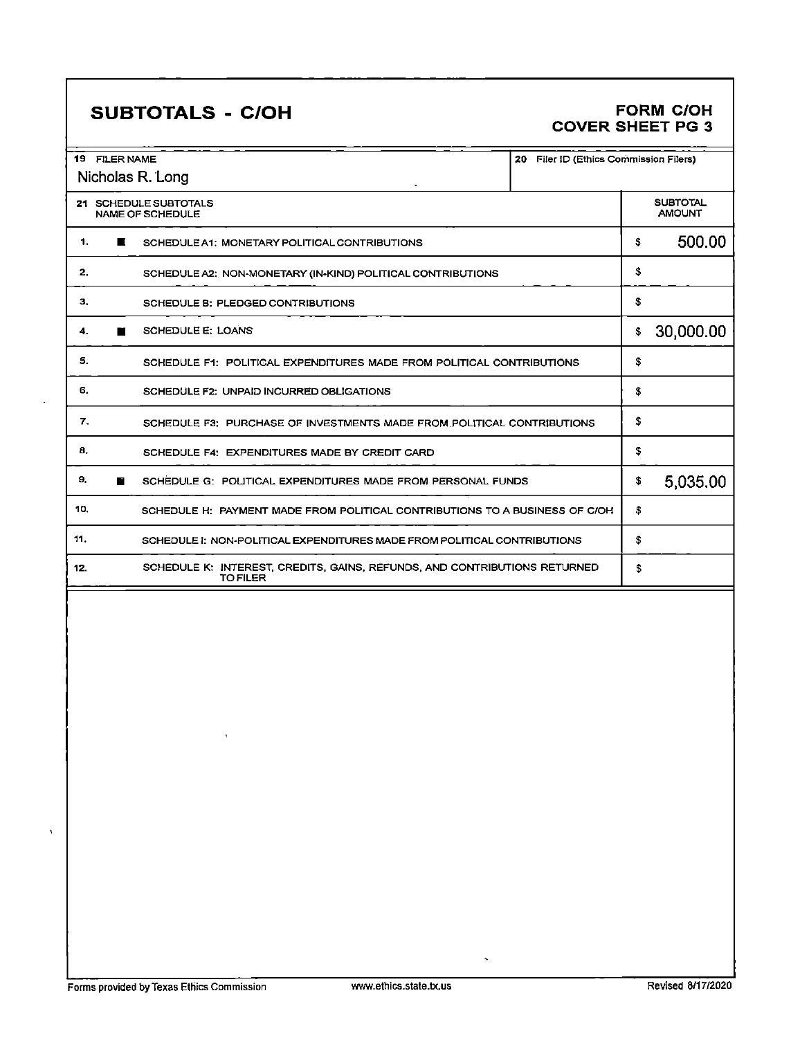l,

 $\boldsymbol{\lambda}$ 

## SUBTOTALS - C/OH FORM C/OH COVER SHEET PG 3

| 19 -<br><b>FILER NAME</b><br>20<br>Nicholas R. Long                                                 | Filer ID (Ethics Commission Filers) |
|-----------------------------------------------------------------------------------------------------|-------------------------------------|
| 21 SCHEDULE SUBTOTALS<br><b>NAME OF SCHEDULE</b>                                                    | <b>SUBTOTAL</b><br><b>AMOUNT</b>    |
| 1.<br>ш<br>SCHEDULE A1: MONETARY POLITICAL CONTRIBUTIONS                                            | 500.00<br>\$                        |
| 2.<br>SCHEDULE A2; NON-MONETARY (IN-KIND) POLITICAL CONTRIBUTIONS                                   | \$                                  |
| 3.<br>SCHEDULE B: PLEDGED CONTRIBUTIONS                                                             | \$                                  |
| <b>SCHEDULE E: LOANS</b><br>4.<br>■                                                                 | 30,000.00<br>\$                     |
| 5.<br>SCHEDULE F1: POLITICAL EXPENDITURES MADE FROM POLITICAL CONTRIBUTIONS                         | \$                                  |
| 6.<br><b>SCHEDULE F2: UNPAID INCURRED OBLIGATIONS</b>                                               | S                                   |
| 7.<br>SCHEDULE F3: PURCHASE OF INVESTMENTS MADE FROM POLITICAL CONTRIBUTIONS                        | \$                                  |
| 8.<br>SCHEDULE F4: EXPENDITURES MADE BY CREDIT CARD                                                 | S                                   |
| 9.<br><b>F</b><br>SCHEDULE G: POLITICAL EXPENDITURES MADE FROM PERSONAL FUNDS                       | 5,035.00<br>\$                      |
| 10.<br>SCHEDULE H: PAYMENT MADE FROM POLITICAL CONTRIBUTIONS TO A BUSINESS OF C/OH                  | s                                   |
| 11.<br>SCHEDULE I: NON-POLITICAL EXPENDITURES MADE FROM POLITICAL CONTRIBUTIONS                     | \$                                  |
| SCHEDULE K: INTEREST, CREDITS, GAINS, REFUNDS, AND CONTRIBUTIONS RETURNED<br>12.<br><b>TO FILER</b> | \$                                  |

 $\bar{\mathbf{v}}$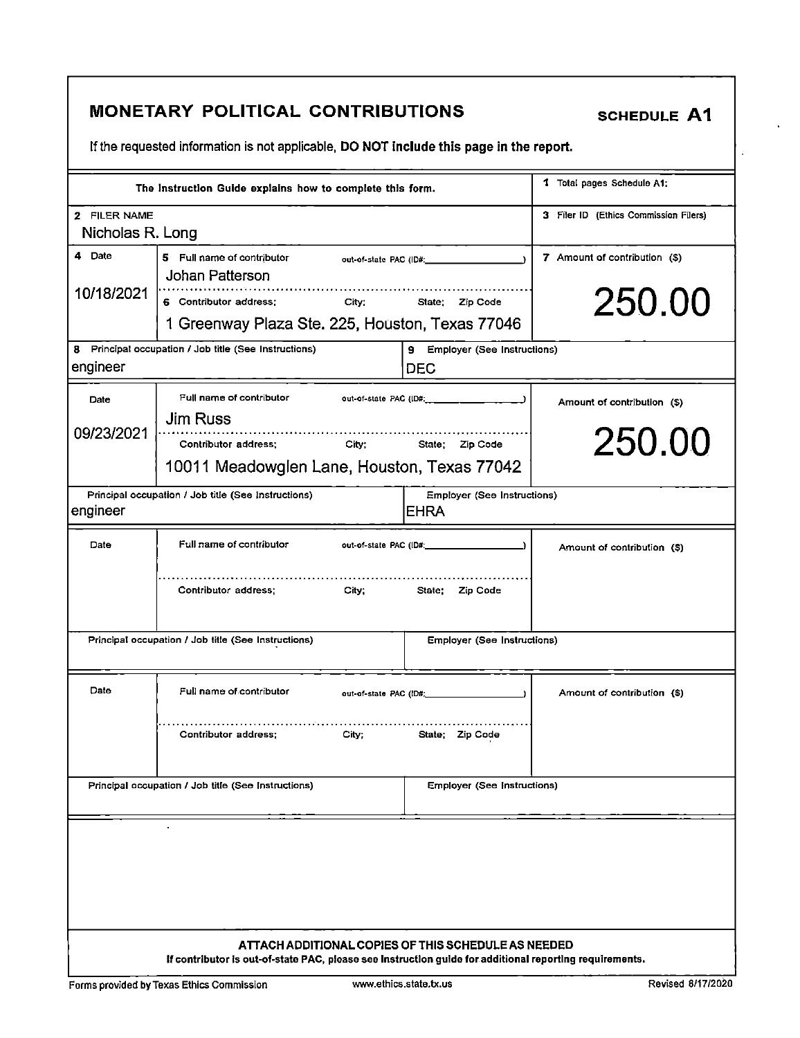|                                  | <b>MONETARY POLITICAL CONTRIBUTIONS</b>                                                                                                                        |                                                   | <b>SCHEDULE A1</b>                    |
|----------------------------------|----------------------------------------------------------------------------------------------------------------------------------------------------------------|---------------------------------------------------|---------------------------------------|
|                                  | If the requested information is not applicable, DO NOT include this page in the report.                                                                        |                                                   |                                       |
|                                  | The Instruction Guide explains how to complete this form.                                                                                                      |                                                   | 1 Total pages Schedule A1:            |
| 2 FILER NAME<br>Nicholas R. Long |                                                                                                                                                                |                                                   | 3 Filer ID (Ethics Commission Filers) |
| 4 Date                           | 5 Full name of contributor<br>Johan Patterson                                                                                                                  | out-of-state PAC (ID#; example out-               | 7 Amount of contribution (\$)         |
| 10/18/2021                       | 6 Contributor address:<br>City: State; Zip Code<br>1 Greenway Plaza Ste. 225, Houston, Texas 77046                                                             |                                                   | 250.00                                |
| engineer                         | 8 Principal occupation / Job title (See Instructions)                                                                                                          | 9 Employer (See Instructions)<br><b>DEC</b>       |                                       |
| Date                             | Full name of contributor                                                                                                                                       |                                                   | Amount of contribution (\$)           |
| 09/23/2021                       | <b>Jim Russ</b><br>Contributor address;<br>10011 Meadowglen Lane, Houston, Texas 77042                                                                         | City; State; Zip Code                             | 250.00                                |
| engineer                         | Principal occupation / Job title (See Instructions)                                                                                                            | <b>Employer (See Instructions)</b><br><b>EHRA</b> |                                       |
| Date                             | Full name of contributor                                                                                                                                       |                                                   | Amount of contribution (\$)           |
|                                  | Contributor address;                                                                                                                                           | City; State: Zip Code                             |                                       |
|                                  | Principal occupation / Job title (See Instructions)                                                                                                            | <b>Employer (See Instructions)</b>                |                                       |
| Date                             | Full name of contributor<br>out-of-state PAC (ID#;                                                                                                             |                                                   | Amount of contribution (\$)           |
|                                  | Contributor address:<br>City;                                                                                                                                  | State; Zip Code                                   |                                       |
|                                  | Principal occupation / Job title (See Instructions)                                                                                                            | <b>Employer (See Instructions)</b>                |                                       |
|                                  |                                                                                                                                                                |                                                   |                                       |
|                                  |                                                                                                                                                                |                                                   |                                       |
|                                  |                                                                                                                                                                |                                                   |                                       |
|                                  | ATTACH ADDITIONAL COPIES OF THIS SCHEDULE AS NEEDED<br>If contributor is out-of-state PAC, please see Instruction guide for additional reporting requirements. |                                                   |                                       |

 $\hat{\mathbf{r}}$ 

 $\overline{\mathcal{L}}$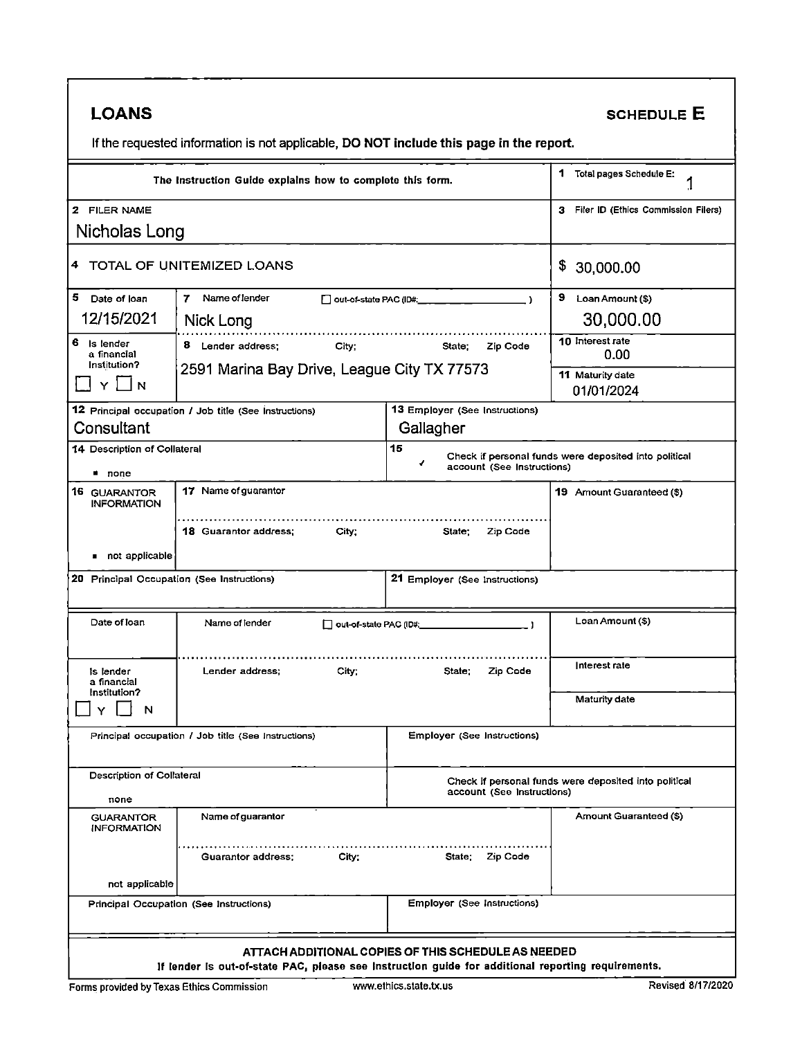| <b>LOANS</b>                                  |                                                                                                    |                                                     | <b>SCHEDULE E</b>                                     |
|-----------------------------------------------|----------------------------------------------------------------------------------------------------|-----------------------------------------------------|-------------------------------------------------------|
|                                               | If the requested information is not applicable, DO NOT include this page in the report.            |                                                     |                                                       |
|                                               | The Instruction Guide explains how to complete this form.                                          |                                                     | 1<br>Total pages Schedule E:                          |
| 2 FILER NAME                                  |                                                                                                    |                                                     | $\mathbf{3}$<br>Filer ID (Ethics Commission Filers)   |
| Nicholas Long                                 |                                                                                                    |                                                     |                                                       |
|                                               | 4 TOTAL OF UNITEMIZED LOANS                                                                        |                                                     | \$<br>30,000.00                                       |
| 5.<br>Date of loan                            | Name of lender<br>7.                                                                               | out-of-state PAC (ID#.<br>$\rightarrow$             | 9 Loan Amount (\$)                                    |
| 12/15/2021                                    | Nick Long                                                                                          |                                                     | 30,000.00                                             |
| 6<br>Is lender<br>a financial<br>Institution? | 8 Lender address:<br>City;                                                                         | Zip Code<br>State:                                  | 10 Interest rate<br>0.00                              |
| N                                             | 2591 Marina Bay Drive, League City TX 77573                                                        |                                                     | 11 Maturity date<br>01/01/2024                        |
|                                               | 12 Principal occupation / Job title (See Instructions)                                             | 13 Employer (See Instructions)                      |                                                       |
| Consultant                                    |                                                                                                    | Gallagher                                           |                                                       |
| 14 Description of Collateral<br>■ none        |                                                                                                    | 15<br>✔<br>account (See Instructions)               | Check if personal funds were deposited into political |
| 16 GUARANTOR                                  | 17 Name of guarantor                                                                               |                                                     | 19 Amount Guaranteed (\$)                             |
| <b>INFORMATION</b>                            |                                                                                                    |                                                     |                                                       |
|                                               | 18 Guarantor address;<br>City;                                                                     | State;<br>Zip Code                                  |                                                       |
| not applicable                                |                                                                                                    |                                                     |                                                       |
| 20 Principal Occupation (See Instructions)    |                                                                                                    | 21 Employer (See Instructions)                      |                                                       |
| Date of loan                                  | Name of lender<br>out-of-state PAC (ID#:                                                           |                                                     | Loan Amount (\$)                                      |
| is lender<br>a financial                      | Lender address;<br>City,                                                                           | Zip Code<br>State;                                  | Interest rate                                         |
| Institution?<br>N                             |                                                                                                    |                                                     | Maturity date                                         |
|                                               | Principal occupation / Job title (See Instructions)                                                | Employer (See Instructions)                         |                                                       |
| Description of Collateral<br>none             |                                                                                                    | account (See Instructions)                          | Check if personal funds were deposited into political |
| <b>GUARANTOR</b><br><b>INFORMATION</b>        | Name of guarantor                                                                                  |                                                     | Amount Guaranteed (\$)                                |
|                                               | City <sup>-</sup><br>Guarantor address;                                                            | State; Zip Code                                     |                                                       |
| not applicable                                |                                                                                                    |                                                     |                                                       |
|                                               | Principal Occupation (See Instructions)                                                            | <b>Employer (See Instructions)</b>                  |                                                       |
|                                               | If lender is out-of-state PAC, please see instruction guide for additional reporting requirements. | ATTACH ADDITIONAL COPIES OF THIS SCHEDULE AS NEEDED |                                                       |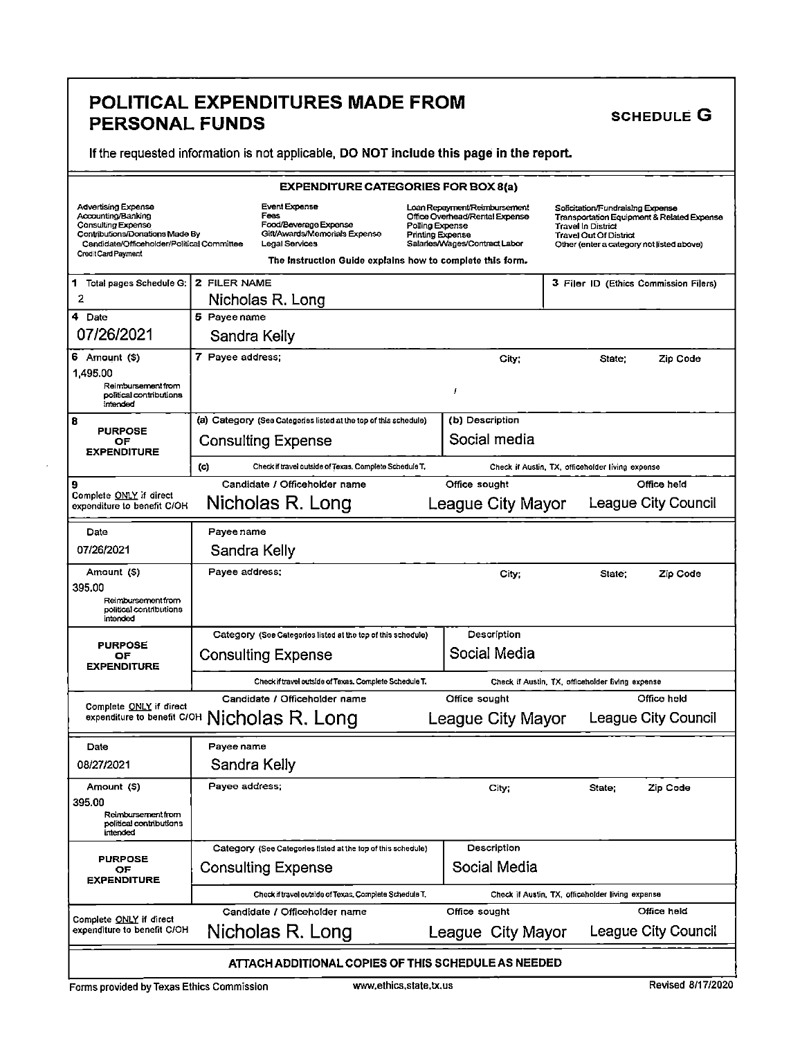# POLITICAL EXPENDITURES MADE FROM SCHEDULE G PERSONAL FUNDS<br>If the requested information is not applicable, DO NOT include this page in the report.

|                                                                                                                                                                                | <b>EXPENDITURE CATEGORIES FOR BOX 8(a)</b>                                                                                                                            |                                     |                                                                                                 |                                                                                                                                      |                                            |
|--------------------------------------------------------------------------------------------------------------------------------------------------------------------------------|-----------------------------------------------------------------------------------------------------------------------------------------------------------------------|-------------------------------------|-------------------------------------------------------------------------------------------------|--------------------------------------------------------------------------------------------------------------------------------------|--------------------------------------------|
| Advertising Expense<br>Accounting/Banking<br><b>Consulting Expense</b><br>Contributions/Donations Made By<br>Candidate/Officeholder/Political Committee<br>Credit Card Payment | <b>Event Expense</b><br>Fees<br>Food/Beverage Expense<br>Gift/Awards/Memorials Expense<br>Legal Services<br>The Instruction Guide explains how to complete this form. | Polling Expense<br>Printing Expense | Loan Repayment/Reimbursement<br>Office Overhead/Rental Expense<br>Salaries/Wages/Contract Labor | Solicitation/Fundraising Expense<br><b>Travel In District</b><br>Travel Out Of District<br>Other (enter a category not listed above) | Transportation Equipment & Related Expense |
| 1 Total pages Schedule G:                                                                                                                                                      | 2 FILER NAME                                                                                                                                                          |                                     |                                                                                                 | 3 Filer ID (Ethics Commission Filers)                                                                                                |                                            |
| 2                                                                                                                                                                              | Nicholas R. Long                                                                                                                                                      |                                     |                                                                                                 |                                                                                                                                      |                                            |
| 4 Date                                                                                                                                                                         | 5 Payee name                                                                                                                                                          |                                     |                                                                                                 |                                                                                                                                      |                                            |
| 07/26/2021                                                                                                                                                                     | Sandra Kelly                                                                                                                                                          |                                     |                                                                                                 |                                                                                                                                      |                                            |
| 6 Amount (\$)                                                                                                                                                                  | 7 Payee address;                                                                                                                                                      |                                     | City;                                                                                           | State:                                                                                                                               | Zip Code                                   |
| 1,495.00<br>Reimbursement from<br>political contributions<br>intended                                                                                                          |                                                                                                                                                                       |                                     | f                                                                                               |                                                                                                                                      |                                            |
| 8                                                                                                                                                                              | (a) Category (See Categories listed at the top of this schedule)                                                                                                      |                                     | (b) Description                                                                                 |                                                                                                                                      |                                            |
| <b>PURPOSE</b><br>OF<br><b>EXPENDITURE</b>                                                                                                                                     | <b>Consulting Expense</b>                                                                                                                                             |                                     | Social media                                                                                    |                                                                                                                                      |                                            |
|                                                                                                                                                                                | (c)<br>Check if travel outside of Texas. Complete Schedule T.                                                                                                         |                                     |                                                                                                 | Check if Austin, TX, officeholder living expense                                                                                     |                                            |
| 9<br>Complete ONLY if direct<br>expenditure to benefit C/OH                                                                                                                    | Candidate / Officeholder name<br>Nicholas R. Long                                                                                                                     |                                     | Office sought<br>League City Mayor                                                              |                                                                                                                                      | Office held<br>League City Council         |
| Date                                                                                                                                                                           | Payee name                                                                                                                                                            |                                     |                                                                                                 |                                                                                                                                      |                                            |
| 07/26/2021                                                                                                                                                                     | Sandra Kelly                                                                                                                                                          |                                     |                                                                                                 |                                                                                                                                      |                                            |
| Amount (\$)<br>395.00<br>Reimbursement from                                                                                                                                    | Payee address;                                                                                                                                                        |                                     | City;                                                                                           | State:                                                                                                                               | Zip Code                                   |
| political contributions<br>intended                                                                                                                                            |                                                                                                                                                                       |                                     |                                                                                                 |                                                                                                                                      |                                            |
| <b>PURPOSE</b>                                                                                                                                                                 | Category (See Categories listed at the top of this schedule)                                                                                                          |                                     | Description                                                                                     |                                                                                                                                      |                                            |
| OF<br><b>EXPENDITURE</b>                                                                                                                                                       | <b>Consulting Expense</b>                                                                                                                                             |                                     | Social Media                                                                                    |                                                                                                                                      |                                            |
|                                                                                                                                                                                | Check if travel outside of Texas, Complete Schedule T.                                                                                                                |                                     |                                                                                                 | Check if Austin, TX, officeholder living expense                                                                                     |                                            |
| Complete ONLY if direct                                                                                                                                                        | Candidate / Officeholder name                                                                                                                                         |                                     | Office sought                                                                                   |                                                                                                                                      | Office held                                |
|                                                                                                                                                                                | expenditure to benefit C/OH Nicholas R. Long                                                                                                                          |                                     | League City Mayor                                                                               |                                                                                                                                      | League City Council                        |
| Date                                                                                                                                                                           | Payee name                                                                                                                                                            |                                     |                                                                                                 |                                                                                                                                      |                                            |
| 08/27/2021                                                                                                                                                                     | Sandra Kelly                                                                                                                                                          |                                     |                                                                                                 |                                                                                                                                      |                                            |
| Amount (S)<br>395.00<br>Reimbursement from<br>political contributions<br>intended                                                                                              | Payee address;                                                                                                                                                        |                                     | City;                                                                                           | State;                                                                                                                               | Zip Code                                   |
|                                                                                                                                                                                | Category (See Categories listed at the top of this schedule)                                                                                                          |                                     | Description                                                                                     |                                                                                                                                      |                                            |
| <b>PURPOSE</b><br>OF<br><b>EXPENDITURE</b>                                                                                                                                     | <b>Consulting Expense</b>                                                                                                                                             |                                     | Social Media                                                                                    |                                                                                                                                      |                                            |
|                                                                                                                                                                                | Check if travel outside of Texas, Complete Schedule T.                                                                                                                |                                     |                                                                                                 | Check if Austin, TX, officeholder living expense                                                                                     |                                            |
| Complete ONLY if direct                                                                                                                                                        | Candidate / Officeholder name                                                                                                                                         |                                     | Office sought                                                                                   |                                                                                                                                      | Office held                                |
| expenditure to benefit C/OH                                                                                                                                                    | Nicholas R. Long                                                                                                                                                      |                                     | League City Mayor                                                                               |                                                                                                                                      | League City Council                        |
|                                                                                                                                                                                | ATTACH ADDITIONAL COPIES OF THIS SCHEDULE AS NEEDED                                                                                                                   |                                     |                                                                                                 |                                                                                                                                      |                                            |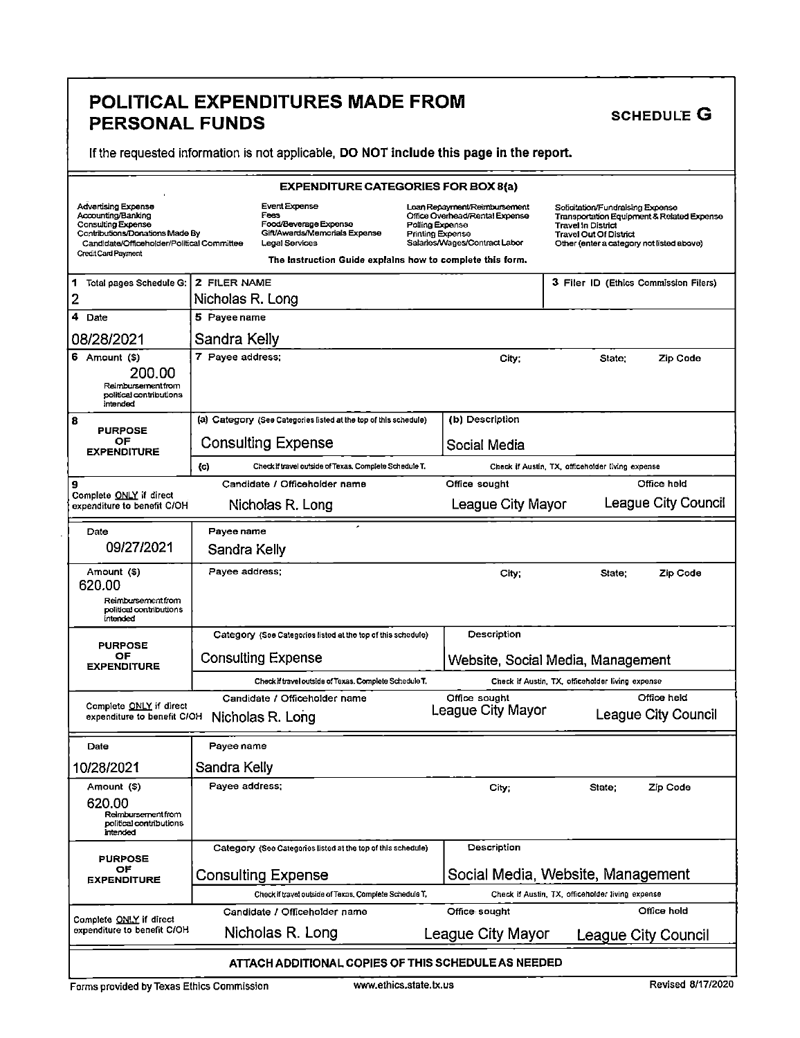## POLITICAL EXPENDITURES MADE FROM SCHEDULE G PERSONAL FUNDS

If the requested information is not applicable, DO NOT include this page in the report.

|                                                                                                                                                                         |                  | <b>EXPENDITURE CATEGORIES FOR BOX 8(a)</b>                                                                                                                     |                                     |                                                                                                 |                                                                                                                                      |                                            |
|-------------------------------------------------------------------------------------------------------------------------------------------------------------------------|------------------|----------------------------------------------------------------------------------------------------------------------------------------------------------------|-------------------------------------|-------------------------------------------------------------------------------------------------|--------------------------------------------------------------------------------------------------------------------------------------|--------------------------------------------|
| Advertising Expense<br>Accounting/Banking<br>Consulting Expense<br>Contributions/Donations Made By<br>Candidate/Officeholder/Political Committee<br>Credit Card Payment |                  | Event Expense<br>Fees<br>Food/Beverage Expense<br>Gift/Awards/Memorials Expense<br>Legal Services<br>The Instruction Guide explains how to complete this form. | Polling Expense<br>Printing Expense | Loan Repayment/Reimbursement<br>Office Overhead/Rental Expense<br>Salaries/Wages/Contract Labor | Solicitation/Fundraising Expense<br><b>Travel In District</b><br>Travel Out Of District<br>Other (enter a category not listed above) | Transportation Equipment & Related Expense |
| 1<br>Total pages Schedule G:                                                                                                                                            | 2 FILER NAME     |                                                                                                                                                                |                                     |                                                                                                 | 3 Filer ID (Ethics Commission Filers)                                                                                                |                                            |
| $\overline{\mathbf{2}}$                                                                                                                                                 | Nicholas R. Long |                                                                                                                                                                |                                     |                                                                                                 |                                                                                                                                      |                                            |
| 4 Date                                                                                                                                                                  | 5 Payee name     |                                                                                                                                                                |                                     |                                                                                                 |                                                                                                                                      |                                            |
| 08/28/2021                                                                                                                                                              | Sandra Kelly     |                                                                                                                                                                |                                     |                                                                                                 |                                                                                                                                      |                                            |
| 6 Amount (\$)<br>200.00<br>Reimbursement from<br>political contributions<br>intended                                                                                    | 7 Payee address; |                                                                                                                                                                |                                     | City;                                                                                           | State:                                                                                                                               | Zip Code                                   |
| 8                                                                                                                                                                       |                  | (a) Category (See Categories listed at the top of this schedule)                                                                                               |                                     | (b) Description                                                                                 |                                                                                                                                      |                                            |
| <b>PURPOSE</b><br>ОF                                                                                                                                                    |                  | <b>Consulting Expense</b>                                                                                                                                      |                                     | Social Media                                                                                    |                                                                                                                                      |                                            |
| <b>EXPENDITURE</b>                                                                                                                                                      | (c)              | Check if travel outside of Texas, Complete Schedule T,                                                                                                         |                                     |                                                                                                 | Check if Austin, TX, officeholder living expense                                                                                     |                                            |
| 9                                                                                                                                                                       |                  | Candidate / Officeholder name                                                                                                                                  |                                     | Office sought                                                                                   |                                                                                                                                      | Office held                                |
| Complete ONLY if direct<br>expenditure to benefit C/OH                                                                                                                  |                  | Nicholas R. Long                                                                                                                                               |                                     | League City Mayor                                                                               |                                                                                                                                      | League City Council                        |
| Date                                                                                                                                                                    | Payee name       |                                                                                                                                                                |                                     |                                                                                                 |                                                                                                                                      |                                            |
| 09/27/2021                                                                                                                                                              | Sandra Kelly     |                                                                                                                                                                |                                     |                                                                                                 |                                                                                                                                      |                                            |
| Amount (\$)<br>620.00<br>Reimbursementfrom<br>political contributions                                                                                                   | Payee address;   |                                                                                                                                                                |                                     | City;                                                                                           | State;                                                                                                                               | Zip Code                                   |
| intended                                                                                                                                                                |                  | Category (See Categories listed at the top of this schedule)                                                                                                   |                                     | Description                                                                                     |                                                                                                                                      |                                            |
| <b>PURPOSE</b><br>OF                                                                                                                                                    |                  | <b>Consulting Expense</b>                                                                                                                                      |                                     |                                                                                                 |                                                                                                                                      |                                            |
| <b>EXPENDITURE</b>                                                                                                                                                      |                  |                                                                                                                                                                |                                     | Website, Social Media, Management                                                               |                                                                                                                                      |                                            |
|                                                                                                                                                                         |                  | Check if travel outside of Texas. Complete Schedule T.                                                                                                         |                                     |                                                                                                 | Check if Austin, TX, officeholder living expense                                                                                     |                                            |
| Complete ONLY if direct<br>expenditure to benefit C/OH                                                                                                                  |                  | Candidate / Officeholder name<br>Nicholas R. Long                                                                                                              |                                     | Office sought<br>League City Mayor                                                              |                                                                                                                                      | Office held<br>League City Council         |
| Date                                                                                                                                                                    | Payee name       |                                                                                                                                                                |                                     |                                                                                                 |                                                                                                                                      |                                            |
| 10/28/2021                                                                                                                                                              | Sandra Kelly     |                                                                                                                                                                |                                     |                                                                                                 |                                                                                                                                      |                                            |
| Amount (\$)<br>620.00<br>Reimbursement from<br>political contributions<br>intended                                                                                      | Payee address;   |                                                                                                                                                                |                                     | City;                                                                                           | State;                                                                                                                               | Zip Code                                   |
|                                                                                                                                                                         |                  | Category (See Categories listed at the top of this schedule)                                                                                                   |                                     | Description                                                                                     |                                                                                                                                      |                                            |
| <b>PURPOSE</b><br>OF<br><b>EXPENDITURE</b>                                                                                                                              |                  | Consulting Expense                                                                                                                                             |                                     | Social Media, Website, Management                                                               |                                                                                                                                      |                                            |
|                                                                                                                                                                         |                  | Check if travel outside of Texas, Complete Schedule T,                                                                                                         |                                     |                                                                                                 | Check if Austin, TX, officeholder living expense                                                                                     |                                            |
| Complete ONLY if direct                                                                                                                                                 |                  | Candidate / Officeholder name                                                                                                                                  |                                     | Office sought                                                                                   |                                                                                                                                      | Office held                                |
| expenditure to benefit C/OH                                                                                                                                             |                  | Nicholas R. Long                                                                                                                                               |                                     | League City Mayor                                                                               |                                                                                                                                      | League City Council                        |
|                                                                                                                                                                         |                  | ATTACH ADDITIONAL COPIES OF THIS SCHEDULE AS NEEDED                                                                                                            |                                     |                                                                                                 |                                                                                                                                      |                                            |